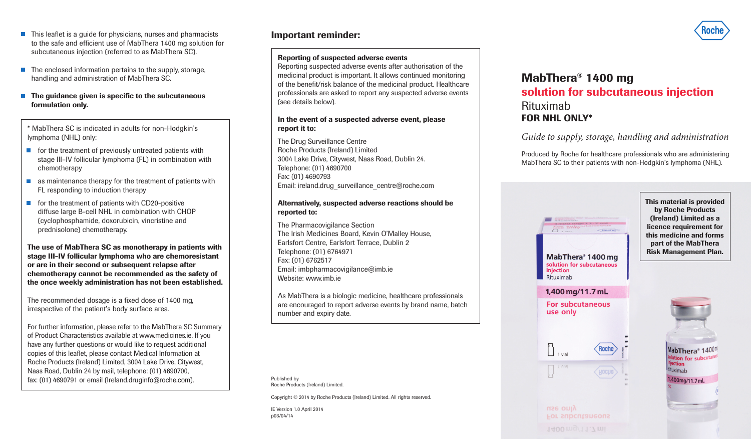- **•** This leaflet is a guide for physicians, nurses and pharmacists to the safe and efficient use of MabThera 1400 mg solution for subcutaneous injection (referred to as MabThera SC).
- The enclosed information pertains to the supply, storage, handling and administration of MabThera SC.
- $\blacksquare$  The quidance given is specific to the subcutaneous formulation only.

\* MabThera SC is indicated in adults for non-Hodgkin's lymphoma (NHL) only:

- $\blacksquare$  for the treatment of previously untreated patients with stage III–IV follicular lymphoma (FL) in combination with chemotherapy
- $\blacksquare$  as maintenance therapy for the treatment of patients with FL responding to induction therapy
- $\blacksquare$  for the treatment of patients with CD20-positive diffuse large B-cell NHL in combination with CHOP (cyclophosphamide, doxorubicin, vincristine and prednisolone) chemotherapy.

The use of MabThera SC as monotherapy in patients with stage III-IV follicular lymphoma who are chemoresistant or are in their second or subsequent relapse after chemotherapy cannot be recommended as the safety of the once weekly administration has not been established.

The recommended dosage is a fixed dose of 1400 mg, irrespective of the patient's body surface area.

For further information, please refer to the MabThera SC Summary of Product Characteristics available at www.medicines.ie. If you have any further questions or would like to request additional copies of this leaflet, please contact Medical Information at Roche Products (Ireland) Limited, 3004 Lake Drive, Citywest, Naas Road, Dublin 24 by mail, telephone: (01) 4690700, fax: (01) 4690791 or email (Ireland.druginfo@roche.com).

# Important reminder:

## Reporting of suspected adverse events

Reporting suspected adverse events after authorisation of the medicinal product is important. It allows continued monitoring of the benefit/risk balance of the medicinal product. Healthcare professionals are asked to report any suspected adverse events (see details below).

## In the event of a suspected adverse event, please report it to:

The Drug Surveillance Centre Roche Products (Ireland) Limited 3004 Lake Drive, Citywest, Naas Road, Dublin 24. Telephone: (01) 4690700 Fax: (01) 4690793 Email: ireland.drug\_surveillance\_centre@roche.com

## Alternatively, suspected adverse reactions should be reported to:

The Pharmacovigilance Section The Irish Medicines Board, Kevin O'Malley House, Earlsfort Centre, Earlsfort Terrace, Dublin 2 Telephone: (01) 6764971 Fax: (01) 6762517 Email: imbpharmacovigilance@imb.ie Website: www.imb.ie

As MabThera is a biologic medicine, healthcare professionals are encouraged to report adverse events by brand name, batch number and expiry date.

Published by Roche Products (Ireland) Limited.

Copyright © 2014 by Roche Products (Ireland) Limited. All rights reserved.

IE Version 1.0 April 2014 p03/04/14

# MabThera® 1400 mg solution for subcutaneous injection Rituximab FOR NHL ONLY\*

*Guide to supply, storage, handling and administration*

Produced by Roche for healthcare professionals who are administering MabThera SC to their patients with non-Hodgkin's lymphoma (NHL).